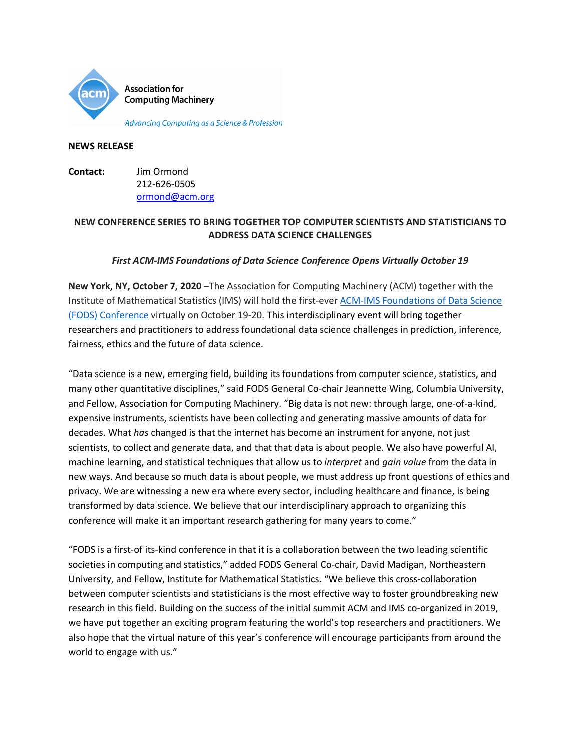

Advancing Computing as a Science & Profession

#### **NEWS RELEASE**

**Contact:** Jim Ormond 212-626-0505 [ormond@acm.org](mailto:ormond@acm.org) 

### **NEW CONFERENCE SERIES TO BRING TOGETHER TOP COMPUTER SCIENTISTS AND STATISTICIANS TO ADDRESS DATA SCIENCE CHALLENGES**

### *First ACM-IMS Foundations of Data Science Conference Opens Virtually October 19*

**New York, NY, October 7, 2020** –The Association for Computing Machinery (ACM) together with the Institute of Mathematical Statistics (IMS) will hold the first-ever [ACM-IMS Foundations of Data Science](https://fods.acm.org/)  [\(FODS\) Conference](https://fods.acm.org/) virtually on October 19-20. This interdisciplinary event will bring together researchers and practitioners to address foundational data science challenges in prediction, inference, fairness, ethics and the future of data science.

"Data science is a new, emerging field, building its foundations from computer science, statistics, and many other quantitative disciplines," said FODS General Co-chair Jeannette Wing, Columbia University, and Fellow, Association for Computing Machinery. "Big data is not new: through large, one-of-a-kind, expensive instruments, scientists have been collecting and generating massive amounts of data for decades. What *has* changed is that the internet has become an instrument for anyone, not just scientists, to collect and generate data, and that that data is about people. We also have powerful AI, machine learning, and statistical techniques that allow us to *interpret* and *gain value* from the data in new ways. And because so much data is about people, we must address up front questions of ethics and privacy. We are witnessing a new era where every sector, including healthcare and finance, is being transformed by data science. We believe that our interdisciplinary approach to organizing this conference will make it an important research gathering for many years to come."

"FODS is a first-of its-kind conference in that it is a collaboration between the two leading scientific societies in computing and statistics," added FODS General Co-chair, David Madigan, Northeastern University, and Fellow, Institute for Mathematical Statistics. "We believe this cross-collaboration between computer scientists and statisticians is the most effective way to foster groundbreaking new research in this field. Building on the success of the initial summit ACM and IMS co-organized in 2019, we have put together an exciting program featuring the world's top researchers and practitioners. We also hope that the virtual nature of this year's conference will encourage participants from around the world to engage with us."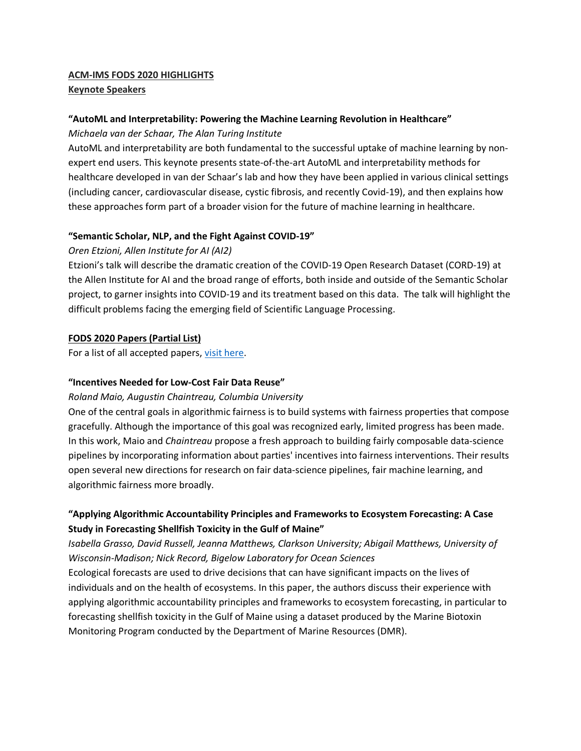# **ACM-IMS FODS 2020 HIGHLIGHTS**

### **Keynote Speakers**

### **"AutoML and Interpretability: Powering the Machine Learning Revolution in Healthcare"**

*Michaela van der Schaar, The Alan Turing Institute*

AutoML and interpretability are both fundamental to the successful uptake of machine learning by nonexpert end users. This keynote presents state-of-the-art AutoML and interpretability methods for healthcare developed in van der Schaar's lab and how they have been applied in various clinical settings (including cancer, cardiovascular disease, cystic fibrosis, and recently Covid-19), and then explains how these approaches form part of a broader vision for the future of machine learning in healthcare.

### **"Semantic Scholar, NLP, and the Fight Against COVID-19"**

### *Oren Etzioni, Allen Institute for AI (AI2)*

Etzioni's talk will describe the dramatic creation of the COVID-19 Open Research Dataset (CORD-19) at the Allen Institute for AI and the broad range of efforts, both inside and outside of the Semantic Scholar project, to garner insights into COVID-19 and its treatment based on this data. The talk will highlight the difficult problems facing the emerging field of Scientific Language Processing.

### **FODS 2020 Papers (Partial List)**

For a list of all accepted papers, [visit here.](https://easychair.org/smart-program/FODS2020/)

### **"Incentives Needed for Low-Cost Fair Data Reuse"**

### *Roland Maio, Augustin Chaintreau, Columbia University*

One of the central goals in algorithmic fairness is to build systems with fairness properties that compose gracefully. Although the importance of this goal was recognized early, limited progress has been made. In this work, Maio and *Chaintreau* propose a fresh approach to building fairly composable data-science pipelines by incorporating information about parties' incentives into fairness interventions. Their results open several new directions for research on fair data-science pipelines, fair machine learning, and algorithmic fairness more broadly.

### **"Applying Algorithmic Accountability Principles and Frameworks to Ecosystem Forecasting: A Case Study in Forecasting Shellfish Toxicity in the Gulf of Maine"**

## *Isabella Grasso, David Russell, Jeanna Matthews, Clarkson University; Abigail Matthews, University of Wisconsin-Madison; Nick Record, Bigelow Laboratory for Ocean Sciences*

Ecological forecasts are used to drive decisions that can have significant impacts on the lives of individuals and on the health of ecosystems. In this paper, the authors discuss their experience with applying algorithmic accountability principles and frameworks to ecosystem forecasting, in particular to forecasting shellfish toxicity in the Gulf of Maine using a dataset produced by the Marine Biotoxin Monitoring Program conducted by the Department of Marine Resources (DMR).